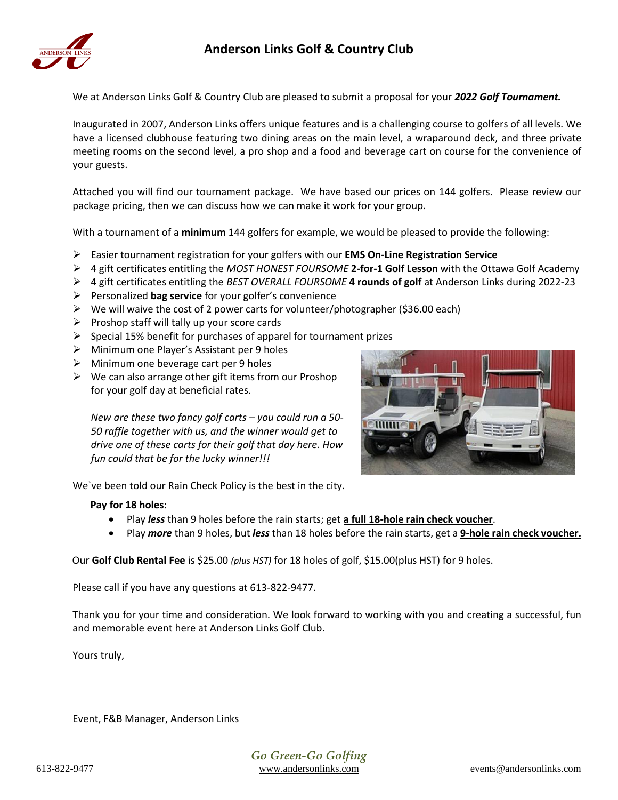

We at Anderson Links Golf & Country Club are pleased to submit a proposal for your *2022 Golf Tournament.*

Inaugurated in 2007, Anderson Links offers unique features and is a challenging course to golfers of all levels. We have a licensed clubhouse featuring two dining areas on the main level, a wraparound deck, and three private meeting rooms on the second level, a pro shop and a food and beverage cart on course for the convenience of your guests.

Attached you will find our tournament package. We have based our prices on 144 golfers. Please review our package pricing, then we can discuss how we can make it work for your group.

With a tournament of a **minimum** 144 golfers for example, we would be pleased to provide the following:

- Easier tournament registration for your golfers with our **EMS On-Line Registration Service**
- 4 gift certificates entitling the *MOST HONEST FOURSOME* **2-for-1 Golf Lesson** with the Ottawa Golf Academy
- 4 gift certificates entitling the *BEST OVERALL FOURSOME* **4 rounds of golf** at Anderson Links during 2022-23
- Personalized **bag service** for your golfer's convenience
- $\triangleright$  We will waive the cost of 2 power carts for volunteer/photographer (\$36.00 each)
- $\triangleright$  Proshop staff will tally up your score cards
- $\triangleright$  Special 15% benefit for purchases of apparel for tournament prizes
- > Minimum one Player's Assistant per 9 holes
- $\triangleright$  Minimum one beverage cart per 9 holes
- $\triangleright$  We can also arrange other gift items from our Proshop for your golf day at beneficial rates.

*New are these two fancy golf carts – you could run a 50- 50 raffle together with us, and the winner would get to drive one of these carts for their golf that day here. How fun could that be for the lucky winner!!!*



We`ve been told our Rain Check Policy is the best in the city.

#### **Pay for 18 holes:**

- Play *less* than 9 holes before the rain starts; get **a full 18-hole rain check voucher**.
- Play *more* than 9 holes, but *less* than 18 holes before the rain starts, get a **9-hole rain check voucher.**

Our **Golf Club Rental Fee** is \$25.00 *(plus HST)* for 18 holes of golf, \$15.00(plus HST) for 9 holes.

Please call if you have any questions at 613-822-9477.

Thank you for your time and consideration. We look forward to working with you and creating a successful, fun and memorable event here at Anderson Links Golf Club.

Yours truly,

Event, F&B Manager, Anderson Links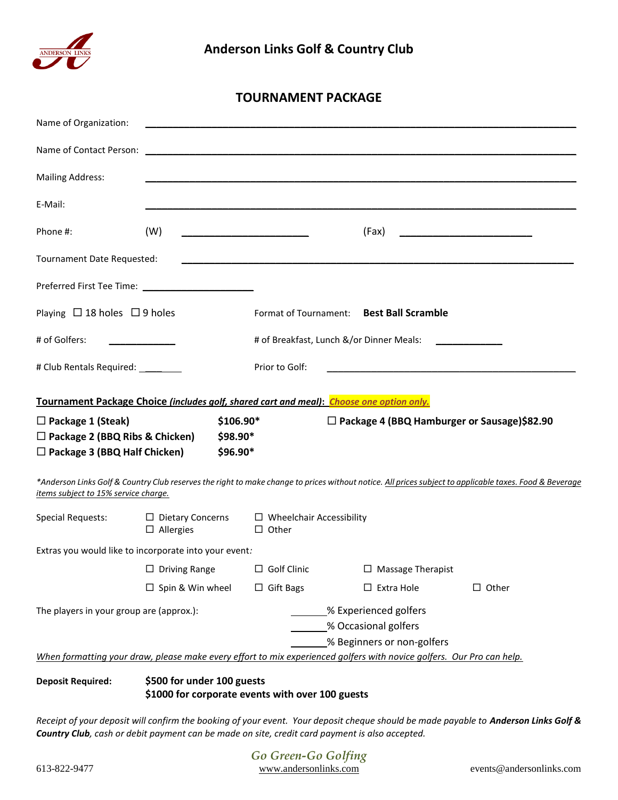

# **TOURNAMENT PACKAGE**

| Name of Organization:                                                                                                                                                                           |                                                                  |                                                                                                                        |                                 |                                                    |                                                   |  |
|-------------------------------------------------------------------------------------------------------------------------------------------------------------------------------------------------|------------------------------------------------------------------|------------------------------------------------------------------------------------------------------------------------|---------------------------------|----------------------------------------------------|---------------------------------------------------|--|
|                                                                                                                                                                                                 |                                                                  |                                                                                                                        |                                 |                                                    |                                                   |  |
| <b>Mailing Address:</b>                                                                                                                                                                         |                                                                  |                                                                                                                        |                                 |                                                    |                                                   |  |
| E-Mail:                                                                                                                                                                                         |                                                                  |                                                                                                                        |                                 |                                                    |                                                   |  |
| Phone #:                                                                                                                                                                                        | (W)                                                              | <u> 1990 - Johann John Harry Harry Harry Harry Harry Harry Harry Harry Harry Harry Harry Harry Harry Harry Harry H</u> |                                 | (Fax)                                              | <u> 1989 - Johann Barn, mars et al. (b. 1989)</u> |  |
| Tournament Date Requested:                                                                                                                                                                      |                                                                  |                                                                                                                        |                                 |                                                    |                                                   |  |
|                                                                                                                                                                                                 |                                                                  |                                                                                                                        |                                 |                                                    |                                                   |  |
| Playing $\Box$ 18 holes $\Box$ 9 holes                                                                                                                                                          |                                                                  |                                                                                                                        |                                 | Format of Tournament: Best Ball Scramble           |                                                   |  |
| # of Golfers:                                                                                                                                                                                   |                                                                  | # of Breakfast, Lunch &/or Dinner Meals:                                                                               |                                 |                                                    |                                                   |  |
| # Club Rentals Required: _________                                                                                                                                                              |                                                                  | Prior to Golf:                                                                                                         |                                 |                                                    |                                                   |  |
| Tournament Package Choice (includes golf, shared cart and meal): Choose one option only.                                                                                                        |                                                                  |                                                                                                                        |                                 |                                                    |                                                   |  |
| $$106.90*$<br>$\Box$ Package 1 (Steak)                                                                                                                                                          |                                                                  |                                                                                                                        |                                 | $\Box$ Package 4 (BBQ Hamburger or Sausage)\$82.90 |                                                   |  |
| $\Box$ Package 2 (BBQ Ribs & Chicken)                                                                                                                                                           | $$98.90*$                                                        |                                                                                                                        |                                 |                                                    |                                                   |  |
| $\Box$ Package 3 (BBQ Half Chicken)                                                                                                                                                             | \$96.90*                                                         |                                                                                                                        |                                 |                                                    |                                                   |  |
| *Anderson Links Golf & Country Club reserves the right to make change to prices without notice. All prices subject to applicable taxes. Food & Beverage<br>items subject to 15% service charge. |                                                                  |                                                                                                                        |                                 |                                                    |                                                   |  |
| <b>Special Requests:</b>                                                                                                                                                                        | $\Box$ Dietary Concerns<br>$\Box$ Allergies                      | $\Box$ Other                                                                                                           | $\Box$ Wheelchair Accessibility |                                                    |                                                   |  |
| Extras you would like to incorporate into your event:                                                                                                                                           |                                                                  |                                                                                                                        |                                 |                                                    |                                                   |  |
|                                                                                                                                                                                                 | $\Box$ Driving Range $\Box$ Golf Clinic $\Box$ Massage Therapist |                                                                                                                        |                                 |                                                    |                                                   |  |
|                                                                                                                                                                                                 | $\Box$ Spin & Win wheel                                          | $\Box$ Gift Bags                                                                                                       |                                 | $\Box$ Extra Hole                                  | $\Box$ Other                                      |  |
| The players in your group are (approx.):                                                                                                                                                        |                                                                  |                                                                                                                        | % Experienced golfers           |                                                    |                                                   |  |
|                                                                                                                                                                                                 |                                                                  |                                                                                                                        |                                 | % Occasional golfers                               |                                                   |  |
|                                                                                                                                                                                                 |                                                                  |                                                                                                                        |                                 | % Beginners or non-golfers                         |                                                   |  |
| When formatting your draw, please make every effort to mix experienced golfers with novice golfers. Our Pro can help.                                                                           |                                                                  |                                                                                                                        |                                 |                                                    |                                                   |  |
| <b>Deposit Required:</b>                                                                                                                                                                        | \$500 for under 100 guests                                       |                                                                                                                        |                                 |                                                    |                                                   |  |

**\$1000 for corporate events with over 100 guests**

*Receipt of your deposit will confirm the booking of your event. Your deposit cheque should be made payable to Anderson Links Golf & Country Club, cash or debit payment can be made on site, credit card payment is also accepted.*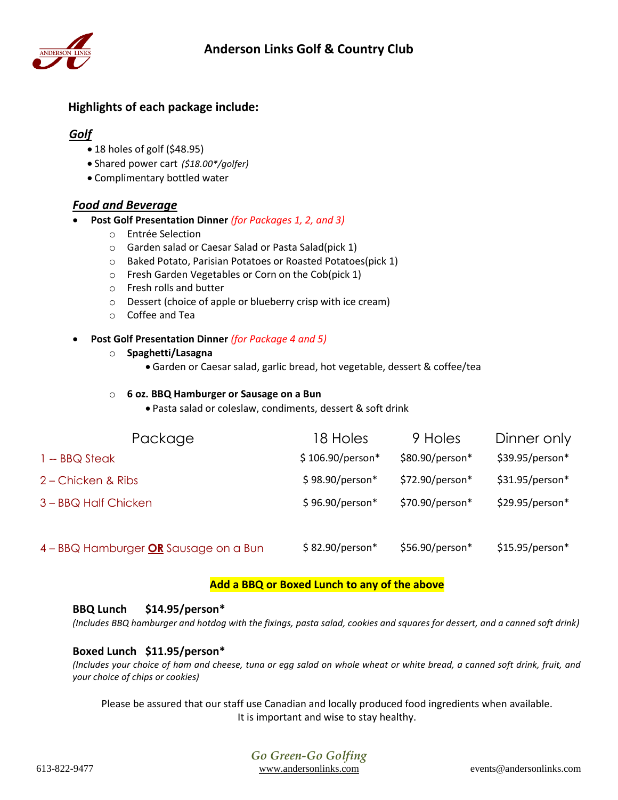

# **Highlights of each package include:**

## *Golf*

- 18 holes of golf (\$48.95)
- Shared power cart *(\$18.00\*/golfer)*
- Complimentary bottled water

## *Food and Beverage*

- **Post Golf Presentation Dinner** *(for Packages 1, 2, and 3)*
	- o Entrée Selection
	- o Garden salad or Caesar Salad or Pasta Salad(pick 1)
	- o Baked Potato, Parisian Potatoes or Roasted Potatoes(pick 1)
	- o Fresh Garden Vegetables or Corn on the Cob(pick 1)
	- o Fresh rolls and butter
	- o Dessert (choice of apple or blueberry crisp with ice cream)
	- o Coffee and Tea

## **Post Golf Presentation Dinner** *(for Package 4 and 5)*

- o **Spaghetti/Lasagna**
	- Garden or Caesar salad, garlic bread, hot vegetable, dessert & coffee/tea

### o **6 oz. BBQ Hamburger or Sausage on a Bun**

Pasta salad or coleslaw, condiments, dessert & soft drink

| Package                               | 18 Holes          | 9 Holes         | Dinner only      |
|---------------------------------------|-------------------|-----------------|------------------|
| 1 -- BBQ Steak                        | $$106.90/person*$ | \$80.90/person* | \$39.95/person*  |
| 2 – Chicken & Ribs                    | \$98.90/person*   | \$72.90/person* | $$31.95/person*$ |
| 3 - BBQ Half Chicken                  | \$96.90/person*   | \$70.90/person* | $$29.95/person*$ |
|                                       |                   |                 |                  |
| 4 - BBQ Hamburger OR Sausage on a Bun | \$82.90/person*   | \$56.90/person* | $$15.95/person*$ |

## **Add a BBQ or Boxed Lunch to any of the above**

### **BBQ Lunch \$14.95/person\***

*(Includes BBQ hamburger and hotdog with the fixings, pasta salad, cookies and squares for dessert, and a canned soft drink)*

## **Boxed Lunch \$11.95/person\***

*(Includes your choice of ham and cheese, tuna or egg salad on whole wheat or white bread, a canned soft drink, fruit, and your choice of chips or cookies)* 

Please be assured that our staff use Canadian and locally produced food ingredients when available. It is important and wise to stay healthy.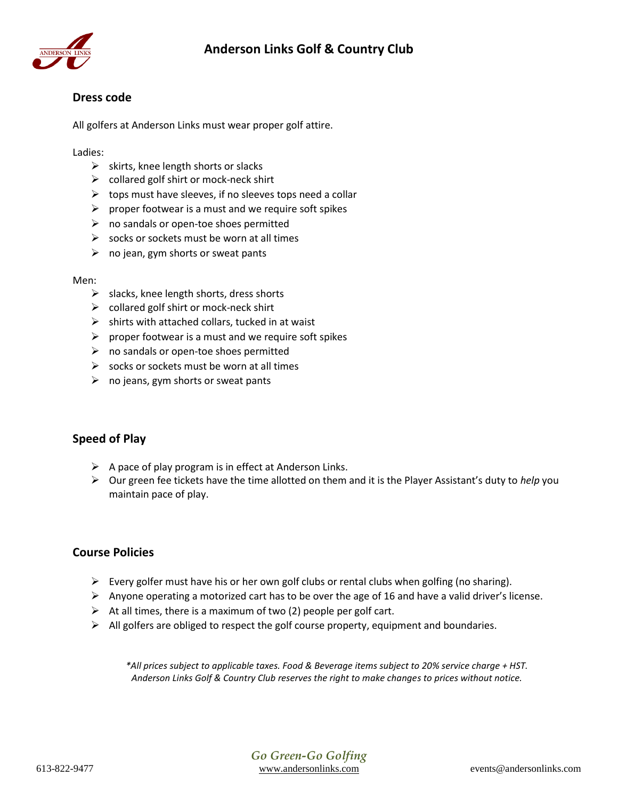

## **Dress code**

All golfers at Anderson Links must wear proper golf attire.

Ladies:

- $\triangleright$  skirts, knee length shorts or slacks
- $\triangleright$  collared golf shirt or mock-neck shirt
- $\triangleright$  tops must have sleeves, if no sleeves tops need a collar
- $\triangleright$  proper footwear is a must and we require soft spikes
- $\triangleright$  no sandals or open-toe shoes permitted
- $\triangleright$  socks or sockets must be worn at all times
- $\triangleright$  no jean, gym shorts or sweat pants

#### Men:

- $\triangleright$  slacks, knee length shorts, dress shorts
- $\triangleright$  collared golf shirt or mock-neck shirt
- $\triangleright$  shirts with attached collars, tucked in at waist
- $\triangleright$  proper footwear is a must and we require soft spikes
- $\triangleright$  no sandals or open-toe shoes permitted
- $\triangleright$  socks or sockets must be worn at all times
- $\triangleright$  no jeans, gym shorts or sweat pants

## **Speed of Play**

- $\triangleright$  A pace of play program is in effect at Anderson Links.
- Our green fee tickets have the time allotted on them and it is the Player Assistant's duty to *help* you maintain pace of play.

## **Course Policies**

- Every golfer must have his or her own golf clubs or rental clubs when golfing (no sharing).
- $\triangleright$  Anyone operating a motorized cart has to be over the age of 16 and have a valid driver's license.
- $\triangleright$  At all times, there is a maximum of two (2) people per golf cart.
- $\triangleright$  All golfers are obliged to respect the golf course property, equipment and boundaries.

*\*All prices subject to applicable taxes. Food & Beverage items subject to 20% service charge + HST. Anderson Links Golf & Country Club reserves the right to make changes to prices without notice.*